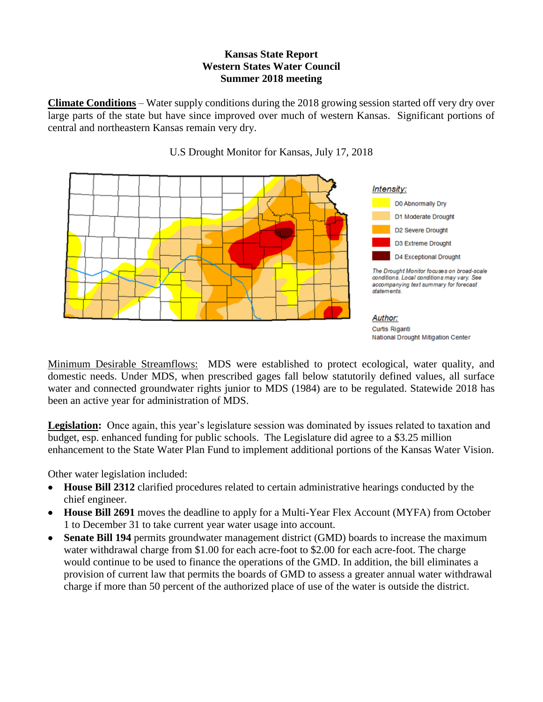## **Kansas State Report Western States Water Council Summer 2018 meeting**

**Climate Conditions** – Water supply conditions during the 2018 growing session started off very dry over large parts of the state but have since improved over much of western Kansas. Significant portions of central and northeastern Kansas remain very dry.



U.S Drought Monitor for Kansas, July 17, 2018

Minimum Desirable Streamflows: MDS were established to protect ecological, water quality, and domestic needs. Under MDS, when prescribed gages fall below statutorily defined values, all surface water and connected groundwater rights junior to MDS (1984) are to be regulated. Statewide 2018 has been an active year for administration of MDS.

Legislation: Once again, this year's legislature session was dominated by issues related to taxation and budget, esp. enhanced funding for public schools. The Legislature did agree to a \$3.25 million enhancement to the State Water Plan Fund to implement additional portions of the Kansas Water Vision.

Other water legislation included:

- **House Bill 2312** clarified procedures related to certain administrative hearings conducted by the chief engineer.
- **House Bill 2691** moves the deadline to apply for a Multi-Year Flex Account (MYFA) from October 1 to December 31 to take current year water usage into account.
- **Senate Bill 194** permits groundwater management district (GMD) boards to increase the maximum water withdrawal charge from \$1.00 for each acre-foot to \$2.00 for each acre-foot. The charge would continue to be used to finance the operations of the GMD. In addition, the bill eliminates a provision of current law that permits the boards of GMD to assess a greater annual water withdrawal charge if more than 50 percent of the authorized place of use of the water is outside the district.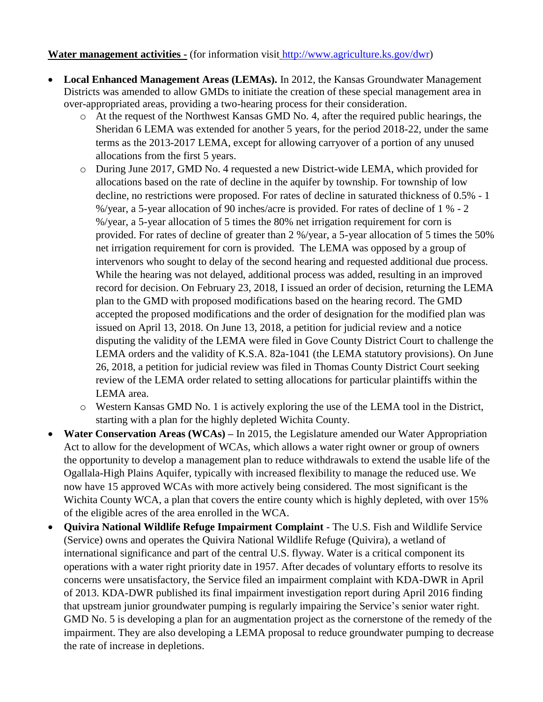## **Water management activities -** (for information visit [http://www.agriculture.ks.gov/dwr\)](http://www.agriculture.ks.gov/dwr)

- **Local Enhanced Management Areas (LEMAs).** In 2012, the Kansas Groundwater Management Districts was amended to allow GMDs to initiate the creation of these special management area in over-appropriated areas, providing a two-hearing process for their consideration.
	- o At the request of the Northwest Kansas GMD No. 4, after the required public hearings, the Sheridan 6 LEMA was extended for another 5 years, for the period 2018-22, under the same terms as the 2013-2017 LEMA, except for allowing carryover of a portion of any unused allocations from the first 5 years.
	- o During June 2017, GMD No. 4 requested a new District-wide LEMA, which provided for allocations based on the rate of decline in the aquifer by township. For township of low decline, no restrictions were proposed. For rates of decline in saturated thickness of 0.5% - 1 %/year, a 5-year allocation of 90 inches/acre is provided. For rates of decline of 1 % - 2 %/year, a 5-year allocation of 5 times the 80% net irrigation requirement for corn is provided. For rates of decline of greater than 2 %/year, a 5-year allocation of 5 times the 50% net irrigation requirement for corn is provided. The LEMA was opposed by a group of intervenors who sought to delay of the second hearing and requested additional due process. While the hearing was not delayed, additional process was added, resulting in an improved record for decision. On February 23, 2018, I issued an order of decision, returning the LEMA plan to the GMD with proposed modifications based on the hearing record. The GMD accepted the proposed modifications and the order of designation for the modified plan was issued on April 13, 2018. On June 13, 2018, a petition for judicial review and a notice disputing the validity of the LEMA were filed in Gove County District Court to challenge the LEMA orders and the validity of K.S.A. 82a-1041 (the LEMA statutory provisions). On June 26, 2018, a petition for judicial review was filed in Thomas County District Court seeking review of the LEMA order related to setting allocations for particular plaintiffs within the LEMA area.
	- o Western Kansas GMD No. 1 is actively exploring the use of the LEMA tool in the District, starting with a plan for the highly depleted Wichita County.
- **Water Conservation Areas (WCAs) –** In 2015, the Legislature amended our Water Appropriation Act to allow for the development of WCAs, which allows a water right owner or group of owners the opportunity to develop a management plan to reduce withdrawals to extend the usable life of the Ogallala-High Plains Aquifer, typically with increased flexibility to manage the reduced use. We now have 15 approved WCAs with more actively being considered. The most significant is the Wichita County WCA, a plan that covers the entire county which is highly depleted, with over 15% of the eligible acres of the area enrolled in the WCA.
- **Quivira National Wildlife Refuge Impairment Complaint** The U.S. Fish and Wildlife Service (Service) owns and operates the Quivira National Wildlife Refuge (Quivira), a wetland of international significance and part of the central U.S. flyway. Water is a critical component its operations with a water right priority date in 1957. After decades of voluntary efforts to resolve its concerns were unsatisfactory, the Service filed an impairment complaint with KDA-DWR in April of 2013. KDA-DWR published its final impairment investigation report during April 2016 finding that upstream junior groundwater pumping is regularly impairing the Service's senior water right. GMD No. 5 is developing a plan for an augmentation project as the cornerstone of the remedy of the impairment. They are also developing a LEMA proposal to reduce groundwater pumping to decrease the rate of increase in depletions.